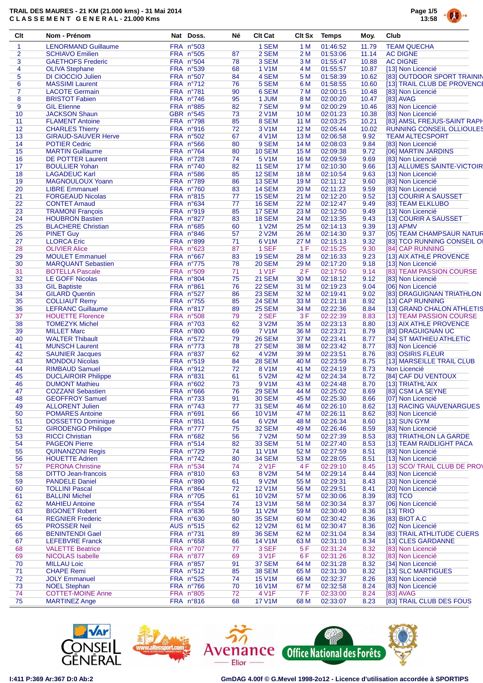

| Clt            | Nom - Prénom               | Nat Doss.                     | Né | <b>Clt Cat</b>     | <b>Clt Sx</b>   | Temps    | Moy.  | Club                             |
|----------------|----------------------------|-------------------------------|----|--------------------|-----------------|----------|-------|----------------------------------|
| 1              | <b>LENORMAND Guillaume</b> | <b>FRA n°503</b>              |    | 1 SEM              | 1 M             | 01:46:52 | 11.79 | <b>TEAM QUECHA</b>               |
| $\overline{2}$ | <b>SCHIAVO Emilien</b>     | FRA n°505                     | 87 | 2 SEM              | 2 M             | 01:53:06 | 11.14 | <b>AC DIGNE</b>                  |
| 3              | <b>GAETHOFS Frederic</b>   | FRA n°504                     | 78 | 3 SEM              | 3M              | 01:55:47 | 10.88 | <b>AC DIGNE</b>                  |
| 4              | <b>OLIVA Stephane</b>      | FRA n°539                     | 68 | <b>1 V1M</b>       | 4 M             | 01:55:57 | 10.87 | [13] Non Licencié                |
| 5              | <b>DI CIOCCIO Julien</b>   | FRA n°507                     | 84 | 4 SEM              | 5 M             | 01:58:39 | 10.62 | [83] OUTDOOR SPORT TRAININ       |
| 6              | <b>MASSIMI</b> Laurent     | FRA n°712                     | 76 | 5 SEM              | 6 M             | 01:58:55 | 10.60 | [13] TRAIL CLUB DE PROVENCE      |
| $\overline{7}$ | <b>LACOTE Germain</b>      | FRA n°781                     | 90 | 6 SEM              | 7 M             | 02:00:15 | 10.48 | [83] Non Licencié                |
| 8              | <b>BRISTOT Fabien</b>      | FRA n°746                     | 95 | 1 JUM              | 8 M             | 02:00:20 | 10.47 | [83] AVAG                        |
| 9              | <b>GIL Etienne</b>         | FRA n°885                     | 82 | 7 SEM              | 9 M             | 02:00:29 | 10.46 | [83] Non Licencié                |
| 10             | <b>JACKSON Shaun</b>       | GBR n°545                     | 73 | <b>2 V1M</b>       | 10 <sub>M</sub> | 02:01:23 | 10.38 | [83] Non Licencié                |
| 11             | <b>FLAMENT Antoine</b>     | FRA n°798                     | 85 | 8 SEM              | 11 M            | 02:03:25 | 10.21 | [83] AMSL FREJUS-SAINT RAPH      |
| 12             | <b>CHARLES Thierry</b>     | FRA n°916                     | 72 | 3 V1M              | 12 M            | 02:05:44 | 10.02 | <b>RUNNING CONSEIL OLLIOULES</b> |
| 13             | <b>GIRAUD-SAUVER Herve</b> | FRA n°502                     | 67 | <b>4 V1M</b>       | 13 M            | 02:06:58 | 9.92  | <b>TEAM ALTECSPORT</b>           |
| 14             | <b>POTIER Cedric</b>       | FRA n°566                     | 80 | 9 SEM              | 14 M            | 02:08:03 | 9.84  | [83] Non Licencié                |
| 15             | <b>MARTIN Guillaume</b>    | FRA n°764                     | 80 | <b>10 SEM</b>      | 15 M            | 02:09:38 | 9.72  | [06] MARTIN JARDINS              |
| 16             | <b>DE POTTER Laurent</b>   | FRA nº728                     | 74 | 5 V <sub>1</sub> M | 16 M            | 02:09:59 | 9.69  | [83] Non Licencié                |
| 17             | <b>BOULLIER Yohan</b>      | FRA n°740                     | 82 | <b>11 SEM</b>      | 17 M            | 02:10:30 | 9.66  | [13] ALLUMES SAINTE-VICTOIR      |
| 18             | <b>LAGADEUC Karl</b>       | FRA n°586                     | 85 | <b>12 SEM</b>      | 18 M            | 02:10:54 | 9.63  | [13] Non Licencié                |
| 19             | MAGNOULOUX Yoann           | FRA n°789                     | 86 | 13 SEM             | 19 M            | 02:11:12 | 9.60  | [83] Non Licencié                |
| 20             | <b>LIBRE Emmanuel</b>      | FRA n°760                     | 83 | <b>14 SEM</b>      | 20 M            | 02:11:23 | 9.59  | [83] Non Licencié                |
| 21             | <b>FORGEAUD Nicolas</b>    | FRA n°815                     | 77 | <b>15 SEM</b>      | 21 M            | 02:12:20 | 9.52  | [13] COURIR A SAUSSET            |
| 22             | <b>CONTET Arnaud</b>       | FRA n°634                     | 77 | <b>16 SEM</b>      | 22 M            | 02:12:47 | 9.49  | [83] TEAM ELKLUBO                |
|                |                            |                               |    |                    |                 |          |       |                                  |
| 23             | <b>TRAMONI François</b>    | FRA n°919<br><b>FRA n°827</b> | 85 | 17 SEM             | 23 M            | 02:12:50 | 9.49  | [13] Non Licencié                |
| 24             | <b>HOUBRON Bastien</b>     |                               | 83 | <b>18 SEM</b>      | 24 M            | 02:13:35 | 9.43  | [13] COURIR A SAUSSET            |
| 25             | <b>BLACHERE Christian</b>  | FRA n°685                     | 60 | 1 V2M              | 25 M            | 02:14:13 | 9.39  | $[13]$ APMV                      |
| 26             | <b>PINET Guy</b>           | FRA n°846                     | 57 | <b>2 V2M</b>       | 26 M            | 02:14:30 | 9.37  | [05] TEAM CHAMPSAUR NATUR        |
| 27             | <b>LLORCA Eric</b>         | FRA n°899                     | 71 | 6 V1M              | 27 M            | 02:15:13 | 9.32  | [83] TCO RUNNING CONSEIL OI      |
| 28             | <b>OLIVIER Alice</b>       | FRA n°623                     | 87 | 1 SEF              | 1 F             | 02:15:25 | 9.30  | [84] CAP RUNNING                 |
| 29             | <b>MOULET</b> Emmanuel     | FRA n°667                     | 83 | 19 SEM             | 28 M            | 02:16:33 | 9.23  | [13] AIX ATHLE PROVENCE          |
| 30             | <b>MARQUANT Sebastien</b>  | FRA n°775                     | 78 | <b>20 SEM</b>      | 29 M            | 02:17:20 | 9.18  | [13] Non Licencié                |
| 31             | <b>BOTELLA Pascale</b>     | FRA n°509                     | 71 | 1 V <sub>1</sub> F | 2F              | 02:17:50 | 9.14  | [83] TEAM PASSION COURSE         |
| 32             | <b>LE GOFF Nicolas</b>     | FRA n°804                     | 75 | <b>21 SEM</b>      | 30 M            | 02:18:12 | 9.12  | [83] Non Licencié                |
| 33             | <b>GIL Baptiste</b>        | <b>FRA n°861</b>              | 76 | <b>22 SEM</b>      | 31 M            | 02:19:23 | 9.04  | [06] Non Licencié                |
| 34             | <b>GILARD Quentin</b>      | FRA n°527                     | 86 | 23 SEM             | 32 M            | 02:19:41 | 9.02  | [83] DRAGUIGNAN TRIATHLON        |
| 35             | <b>COLLIAUT Remy</b>       | FRA n°755                     | 85 | <b>24 SEM</b>      | 33 M            | 02:21:18 | 8.92  | [13] CAP RUNNING                 |
| 36             | <b>LEFRANC Guillaume</b>   | FRA n°817                     | 89 | <b>25 SEM</b>      | 34 M            | 02:22:36 | 8.84  | [13] GRAND CHALON ATHLETIS       |
| 37             | <b>HOUETTE Florence</b>    | FRA n°508                     | 79 | 2 SEF              | 3F              | 02:22:39 | 8.83  | [13] TEAM PASSION COURSE         |
| 38             | <b>TOMEZYK Michel</b>      | FRA n°703                     | 62 | 3 V2M              | 35 M            | 02:23:13 | 8.80  | [13] AIX ATHLE PROVENCE          |
| 39             | <b>MILLET Marc</b>         | <b>FRA n°800</b>              | 69 | <b>7 V1M</b>       | 36 M            | 02:23:21 | 8.79  | [83] DRAGUIGNAN UC               |
| 40             | <b>WALTER Thibault</b>     | FRA n°572                     | 79 | <b>26 SEM</b>      | 37 M            | 02:23:41 | 8.77  | [34] ST MATHIEU ATHLETIC         |
|                |                            | FRA nº773                     | 78 | <b>27 SEM</b>      |                 |          |       |                                  |
| 41             | <b>MUNSCH Laurent</b>      |                               |    |                    | 38 M            | 02:23:42 | 8.77  | [83] Non Licencié                |
| 42             | <b>SAUNIER Jacques</b>     | FRA n°837                     | 62 | 4 V2M              | 39 M            | 02:23:51 | 8.76  | [83] OSIRIS FLEUR                |
| 43             | <b>MONDOU Nicolas</b>      | FRA n°519                     | 84 | <b>28 SEM</b>      | 40 M            | 02:23:59 | 8.75  | [13] MARSEILLE TRAIL CLUB        |
| 44             | <b>RIMBAUD Samuel</b>      | $FRA$ n°912                   | 72 | 8 V1M              | 41 M            | 02:24:19 | 8.73  | Non Licencié                     |
| 45             | <b>DUCLAIROIR Philippe</b> | FRA n°831                     | 61 | 5 V2M              | 42 M            | 02:24:34 | 8.72  | [84] CAF DU VENTOUX              |
| 46             | <b>DUMONT Mathieu</b>      | FRA n°602                     | 73 | 9 V1M              | 43 M            | 02:24:48 | 8.70  | [13] TRIATHL'AIX                 |
| 47             | <b>COZZANI</b> Sebastien   | FRA n°666                     | 76 | <b>29 SEM</b>      | 44 M            | 02:25:02 | 8.69  | [83] CSM LA SEYNE                |
| 48             | <b>GEOFFROY Samuel</b>     | FRA nº733                     | 91 | <b>30 SEM</b>      | 45 M            | 02:25:30 | 8.66  | [07] Non Licencié                |
| 49             | <b>ALLORENT Julien</b>     | FRA n°743                     | 77 | <b>31 SEM</b>      | 46 M            | 02:26:10 | 8.62  | [13] RACING VAUVENARGUES         |
| 50             | <b>POMARES Antoine</b>     | FRA n°691                     | 66 | 10 V1M             | 47 M            | 02:26:11 | 8.62  | [83] Non Licencié                |
| 51             | <b>DOSSETTO Dominique</b>  | FRA n°851                     | 64 | 6 V2M              | 48 M            | 02:26:34 | 8.60  | [13] SUN GYM                     |
| 52             | <b>GIRODENGO Philippe</b>  | FRA nº777                     | 75 | <b>32 SEM</b>      | 49 M            | 02:26:46 | 8.59  | [83] Non Licencié                |
| 53             | <b>RICCI Christian</b>     | FRA n°682                     | 56 | 7 V2M              | 50 M            | 02:27:39 | 8.53  | [83] TRIATHLON LA GARDE          |
| 54             | <b>PAGEON Pierre</b>       | FRA n°514                     | 82 | 33 SEM             | 51 M            | 02:27:40 | 8.53  | [13] TEAM RAIDLIGHT PACA         |
| 55             | <b>QUINANZONI Regis</b>    | FRA n°729                     | 74 | 11 V1M             | 52 M            | 02:27:59 | 8.51  | [83] Non Licencié                |
| 56             | <b>HOUETTE Adrien</b>      | FRA n°742                     | 80 | <b>34 SEM</b>      | 53 M            | 02:28:05 | 8.51  | [13] Non Licencié                |
| 57             | <b>PERONA Christine</b>    | FRA n°534                     | 74 | 2 V <sub>1</sub> F | 4 F             | 02:29:10 | 8.45  | [13] SCO/ TRAIL CLUB DE PROV     |
| 58             | <b>DITTO Jean-francois</b> | FRA n°810                     | 63 | 8 V2M              | 54 M            | 02:29:14 | 8.44  | [83] Non Licencié                |
| 59             | <b>PANDELE Daniel</b>      | FRA n°890                     | 61 | 9 V2M              | 55 M            | 02:29:31 | 8.43  | [33] Non Licencié                |
| 60             | <b>TOLLINI Pascal</b>      | FRA n°864                     | 72 | <b>12 V1M</b>      | 56 M            | 02:29:51 | 8.41  | [20] Non Licencié                |
| 61             | <b>BALLINI Michel</b>      | FRA n°705                     | 61 | 10 V2M             | 57 M            | 02:30:06 | 8.39  | [83] TCO                         |
| 62             | <b>MAHIEU Antoine</b>      | FRA n°554                     | 74 | 13 V1M             | 58 M            | 02:30:34 | 8.37  | [06] Non Licencié                |
| 63             | <b>BIGONET Robert</b>      | FRA n°836                     | 59 | 11 V2M             | 59 M            | 02:30:40 |       | [13] TRIO                        |
|                |                            |                               |    |                    |                 |          | 8.36  |                                  |
| 64             | <b>REGNIER Frederic</b>    | FRA n°630                     | 80 | <b>35 SEM</b>      | 60 M            | 02:30:42 | 8.36  | [83] BIOT A.C                    |
| 65             | <b>PROSSER Neil</b>        | AUS n°515                     | 62 | <b>12 V2M</b>      | 61 M            | 02:30:47 | 8.36  | [02] Non Licencié                |
| 66             | <b>BENINTENDI Gael</b>     | FRA nº731                     | 89 | 36 SEM             | 62 M            | 02:31:04 | 8.34  | [83] TRAIL ATHLITUDE CUERS       |
| 67             | <b>LEFEBVRE Franck</b>     | FRA n°658                     | 66 | 14 V1M             | 63 M            | 02:31:10 | 8.34  | [13] CLES GARDANNE               |
| 68             | <b>VALETTE Beatrice</b>    | FRA n°707                     | 77 | 3 SEF              | 5 F             | 02:31:24 | 8.32  | [83] Non Licencié                |
| 69             | <b>NICOLAS Isabelle</b>    | FRA n°877                     | 69 | 3 V1F              | 6 F             | 02:31:26 | 8.32  | [83] Non Licencié                |
| 70             | <b>MILLAU Loic</b>         | FRA n°857                     | 91 | 37 SEM             | 64 M            | 02:31:28 | 8.32  | [34] Non Licencié                |
| 71             | <b>CHAPE Remi</b>          | FRA n°512                     | 85 | <b>38 SEM</b>      | 65 M            | 02:31:30 | 8.32  | [13] SLC MARTIGUES               |
| 72             | <b>JOLY Emmanuel</b>       | FRA n°525                     | 74 | <b>15 V1M</b>      | 66 M            | 02:32:37 | 8.26  | [83] Non Licencié                |
| 73             | <b>NOEL Stephan</b>        | FRA n°766                     | 70 | <b>16 V1M</b>      | 67 M            | 02:32:58 | 8.24  | [83] Non Licencié                |
| 74             | <b>COTTET-MOINE Anne</b>   | FRA n°805                     | 72 | 4 V1F              | 7 F             | 02:33:00 | 8.24  | [83] AVAG                        |
| 75             | <b>MARTINEZ Ange</b>       | FRA n°816                     | 68 | <b>17 V1M</b>      | 68 M            | 02:33:07 | 8.23  | [83] TRAIL CLUB DES FOUS         |







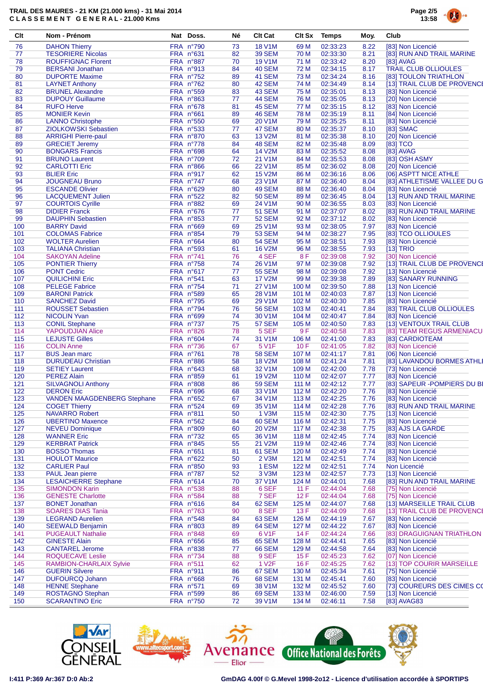

| Clt        | Nom - Prénom                                              | Nat Doss.              | Né       | <b>Clt Cat</b>              | <b>Clt Sx</b> | <b>Temps</b>         | Moy.         | Club                                             |
|------------|-----------------------------------------------------------|------------------------|----------|-----------------------------|---------------|----------------------|--------------|--------------------------------------------------|
| 76         | <b>DAHON Thierry</b>                                      | FRA n°790              | 73       | <b>18 V1M</b>               | 69 M          | 02:33:23             | 8.22         | [83] Non Licencié                                |
| 77         | <b>TESORIERE Nicolas</b>                                  | FRA n°631              | 82       | <b>39 SEM</b>               | 70 M          | 02:33:30             | 8.21         | [83] RUN AND TRAIL MARINE                        |
| 78         | <b>ROUFFIGNAC Florent</b>                                 | FRA n°887              | 70       | 19 V1M                      | 71 M          | 02:33:42             | 8.20         | [83] AVAG                                        |
| 79         | <b>BERSANI Jonathan</b>                                   | FRA n°913              | 84       | <b>40 SEM</b>               | 72 M          | 02:34:15             | 8.17         | <b>TRAIL CLUB OLLIOULES</b>                      |
| 80         | <b>DUPORTE Maxime</b>                                     | FRA nº752              | 89       | <b>41 SEM</b>               | 73 M          | 02:34:24             | 8.16         | [83] TOULON TRIATHLON                            |
| 81         | <b>LAYNET Anthony</b>                                     | FRA n°762              | 80       | 42 SEM                      | 74 M          | 02:34:49             | 8.14         | [13] TRAIL CLUB DE PROVENCE                      |
| 82         | <b>BRUNEL Alexandre</b>                                   | FRA n°559              | 83       | <b>43 SEM</b>               | 75 M          | 02:35:01             | 8.13         | [83] Non Licencié                                |
| 83         | <b>DUPOUY Guillaume</b>                                   | FRA n°863              | 77       | <b>44 SEM</b>               | 76 M          | 02:35:05             | 8.13         | [20] Non Licencié                                |
| 84         | <b>RUFO Herve</b>                                         | FRA n°678              | 81       | <b>45 SEM</b>               | 77 M          | 02:35:15             | 8.12         | [83] Non Licencié                                |
| 85         | <b>MONIER Kevin</b>                                       | FRA n°661              | 89       | <b>46 SEM</b>               | 78 M          | 02:35:19             | 8.11         | [84] Non Licencié                                |
| 86         | <b>LANNO Christophe</b>                                   | FRA n°550              | 69       | 20 V1M                      | 79 M          | 02:35:25             | 8.11         | [83] Non Licencié                                |
| 87         | <b>ZIOLKOWSKI Sebastien</b>                               | FRA n°533              | 77       | <b>47 SEM</b>               | 80 M          | 02:35:37             | 8.10         | [83] SMAC                                        |
| 88         | <b>ARRIGHI Pierre-paul</b>                                | FRA n°870              | 63       | <b>13 V2M</b>               | 81 M          | 02:35:38             | 8.10         | [20] Non Licencié                                |
| 89         | <b>GRECIET Jeremy</b>                                     | FRA n°778              | 84       | 48 SEM                      | 82 M          | 02:35:48             | 8.09         | $[83]$ TCO                                       |
| 90         | <b>BONGARS Francis</b>                                    | FRA n°698              | 64       | 14 V2M                      | 83 M          | 02:35:52             | 8.08         | [83] AVAG                                        |
| 91         | <b>BRUNO Laurent</b>                                      | FRA n°709              | 72       | 21 V1M                      | 84 M          | 02:35:53             | 8.08         | [83] OSH ASMY                                    |
| 92         | <b>CARLOTTI Eric</b>                                      | FRA n°866              | 66       | <b>22 V1M</b>               | 85 M          | 02:36:02             | 8.08         | [20] Non Licencié                                |
| 93         | <b>BLIER Eric</b>                                         | FRA n°917              | 62       | <b>15 V2M</b>               | 86 M          | 02:36:16             | 8.06         | [06] ASPTT NICE ATHLE                            |
| 94         | <b>JOUGNEAU Bruno</b>                                     | FRA n°747              | 68       | 23 V1M                      | 87 M          | 02:36:40             | 8.04         | [83] ATHLETISME VALLEE DU G                      |
| 95         | <b>ESCANDE Olivier</b>                                    | FRA n°629              | 80       | <b>49 SEM</b>               | 88 M          | 02:36:40             | 8.04         | [83] Non Licencié                                |
| 96         | <b>LACQUEMENT Julien</b>                                  | FRA n°522              | 82       | <b>50 SEM</b>               | 89 M          | 02:36:45             | 8.04         | [13] RUN AND TRAIL MARINE                        |
| 97         | <b>COURTOIS Cyrille</b>                                   | FRA n°882              | 69       | 24 V1M                      | 90 M          | 02:36:55             | 8.03         | [83] Non Licencié                                |
| 98         | <b>DIDIER Franck</b>                                      | FRA n°676              | 77       | <b>51 SEM</b>               | 91 M          | 02:37:07             | 8.02         | [83] RUN AND TRAIL MARINE                        |
| 99         | <b>DAUPHIN Sebastien</b>                                  | FRA n°853              | 77       | <b>52 SEM</b>               | 92 M          | 02:37:12             | 8.02         | [83] Non Licencié                                |
| 100        | <b>BARRY David</b>                                        | FRA n°669              | 69       | 25 V1M                      | 93 M          | 02:38:05             | 7.97         | [83] Non Licencié                                |
| 101        | <b>COLOMAS Fabrice</b>                                    | FRA n°854              | 79       | <b>53 SEM</b>               | 94 M          | 02:38:27             | 7.95         | [83] TCO OLLIOULES                               |
| 102        | <b>WOLTER Aurelien</b>                                    | FRA n°664              | 80       | <b>54 SEM</b>               | 95 M          | 02:38:51             | 7.93         | [83] Non Licencié                                |
| 103        | <b>TALIANA Christian</b>                                  | FRA n°593              | 61       | <b>16 V2M</b>               | 96 M          | 02:38:55             | 7.93         | [13] TRIO                                        |
| 104        | <b>SAKOYAN Adeline</b>                                    | FRA n°741              | 76       | 4 SEF                       | 8 F           | 02:39:08             | 7.92         | [30] Non Licencié                                |
| 105        | <b>PONTIER Thierry</b>                                    | FRA n°758              | 74       | 26 V1M                      | 97 M          | 02:39:08             | 7.92         | [13] TRAIL CLUB DE PROVENCE                      |
| 106        | <b>PONT Cedric</b>                                        | FRA n°617              | 77       | <b>55 SEM</b>               | 98 M          | 02:39:08             | 7.92         | [13] Non Licencié                                |
| 107        | <b>QUILICHINI Eric</b>                                    | FRA n°541              | 63       | <b>17 V2M</b>               | 99 M          | 02:39:38             | 7.89         | [83] SANARY RUNNING                              |
| 108        | <b>PELEGE Fabrice</b>                                     | FRA nº754              | 71       | 27 V1M                      | 100 M         | 02:39:50             | 7.88         | [13] Non Licencié                                |
| 109        | <b>BARONI Patrick</b>                                     | FRA n°589              | 65       | 28 V1M                      | 101 M         | 02:40:03             | 7.87         | [13] Non Licencié                                |
| 110        | <b>SANCHEZ David</b>                                      | FRA n°795              | 69       | 29 V1M                      | 102 M         | 02:40:30             | 7.85         | [83] Non Licencié                                |
| 111        | <b>ROUSSET Sebastien</b>                                  | FRA n°794              | 76       | <b>56 SEM</b>               | 103 M         | 02:40:41             | 7.84         | [83] TRAIL CLUB OLLIOULES                        |
| 112        | <b>NICOLIN Yvan</b>                                       | FRA n°699              | 74       | 30 V1M                      | 104 M         | 02:40:47             | 7.84         | [83] Non Licencié                                |
| 113        | <b>CONIL Stephane</b>                                     | FRA n°737              | 75       | <b>57 SEM</b>               | 105 M         | 02:40:50             | 7.83         | [13] VENTOUX TRAIL CLUB                          |
| 114        | YAPOUDJIAN Alice                                          | FRA n°826              | 78       | 5 SEF                       | 9 F           | 02:40:58             | 7.83         | [83] TEAM REGUS ARMENIACU                        |
| 115        | <b>LEJUSTE Gilles</b>                                     | FRA n°604              | 74       | 31 V1M                      | 106 M         | 02:41:00             | 7.83         | [83] CARDIOTEAM                                  |
| 116        | <b>COLIN Anne</b>                                         | FRA n°736              | 67       | 5 V <sub>1</sub> F          | 10F           | 02:41:05             | 7.82         | [83] Non Licencié                                |
| 117        | <b>BUS Jean marc</b>                                      | FRA n°761              | 78       | <b>58 SEM</b>               | 107 M         | 02:41:17             | 7.81         | [06] Non Licencié                                |
| 118        | <b>DURUDEAU Christian</b>                                 | FRA n°886              | 58       | <b>18 V2M</b>               | 108 M         | 02:41:24             | 7.81         | [83] LAVANDOU BORMES ATHLI                       |
| 119        | <b>SETIEY Laurent</b>                                     | FRA n°643              | 68       | 32 V1M                      | 109 M         | 02:42:00             | 7.78         | [73] Non Licencié                                |
| 120        | <b>PEREZ Alain</b>                                        | FRA n°859              | 61       | 19 V2M                      | 110 M         | 02:42:07             | 7.77         | [83] Non Licencié                                |
| 121        | <b>SILVAGNOLI Anthony</b>                                 | <b>FRA n°808</b>       | 86       | <b>59 SEM</b>               | 111 M         | 02:42:12             | 7.77         | [83] SAPEUR - POMPIERS DU BI                     |
| 122        | <b>DERON Eric</b>                                         | FRA n°696              | 68       | 33 V1M                      | 112 M         | 02:42:20             | 7.76         | [83] Non Licencié                                |
| 123        | <b>VANDEN MAAGDENBERG Stephane</b>                        | FRA n°652              | 67       | 34 V1M                      | 113 M         | 02:42:25             | 7.76         | [83] Non Licencié                                |
| 124        | <b>COGET Thierry</b>                                      | FRA n°524              | 69       | 35 V1M                      | 114 M         | 02:42:28             | 7.76         | [83] RUN AND TRAIL MARINE                        |
| 125        | <b>NAVARRO Robert</b>                                     | FRA n°811              | 50       | 1 V3M                       | 115 M         | 02:42:30             | 7.75         | [13] Non Licencié                                |
| 126        | <b>UBERTINO Maxence</b>                                   | FRA n°562              | 84       | <b>60 SEM</b>               | 116 M         | 02:42:31             | 7.75         | [83] Non Licencié                                |
| 127        | <b>NEVEU Dominique</b>                                    | FRA n°809              | 60       | <b>20 V2M</b>               | 117 M         | 02:42:38             | 7.75         | [83] AJS LA GARDE                                |
| 128        | <b>WANNER Eric</b>                                        | FRA nº732              | 65       | 36 V1M                      | 118 M         | 02:42:45             | 7.74         | [83] Non Licencié                                |
| 129        | <b>KERBRAT Patrick</b>                                    | FRA n°845              | 55       | 21 V2M                      | 119 M         | 02:42:46             | 7.74         | [83] Non Licencié                                |
| 130        | <b>BOSSO Thomas</b>                                       | FRA n°651              | 81       | <b>61 SEM</b>               | 120 M         | 02:42:49             | 7.74         | [83] Non Licencié                                |
| 131        | <b>HOULOT Maurice</b>                                     | FRA n°622              | 50       | 2 V3M                       | 121 M         | 02:42:51             | 7.74         | [83] Non Licencié                                |
| 132        | <b>CARLIER Paul</b>                                       | FRA n°850<br>FRA n°787 | 93       | 1 ESM                       | 122 M         | 02:42:51             | 7.74         | Non Licencié<br>[13] Non Licencié                |
| 133        | PAUL Jean pierre<br><b>LESAICHERRE Stephane</b>           | FRA n°614              | 52       | 3 V3M                       | 123 M         | 02:42:57             | 7.73         | [83] RUN AND TRAIL MARINE                        |
| 134        |                                                           |                        | 70       | 37 V1M                      | 124 M         | 02:44:01             | 7.68         |                                                  |
| 135        | <b>SIMONDON Karin</b>                                     | FRA n°538              | 88       | 6 SEF                       | 11F           | 02:44:04             | 7.68         | [75] Non Licencié                                |
| 136<br>137 | <b>GENESTE Charlotte</b>                                  | FRA n°584<br>FRA n°616 | 88<br>84 | 7 SEF<br>62 SEM             | 12F           | 02:44:04             | 7.68         | [75] Non Licencié<br>[13] MARSEILLE TRAIL CLUB   |
|            | <b>BONET Jonathan</b><br><b>SOARES DIAS Tania</b>         | FRA n°763              |          | 8 SEF                       | 125 M         | 02:44:07             | 7.68         |                                                  |
| 138        | <b>LEGRAND Aurelien</b>                                   | FRA n°548              | 90       | <b>63 SEM</b>               | 13F           | 02:44:09             | 7.68<br>7.67 | [13] TRAIL CLUB DE PROVENCE<br>[83] Non Licencié |
| 139        |                                                           |                        | 84       |                             | 126 M         | 02:44:19             |              |                                                  |
| 140        | <b>SEEWALD Benjamin</b>                                   | FRA n°803              | 89       | 64 SEM                      | 127 M         | 02:44:22             | 7.67         | [83] Non Licencié                                |
| 141        | <b>PUGEAULT Nathalie</b>                                  | FRA n°848              | 69       | 6 V1F                       | 14 F          | 02:44:24             | 7.66         | [83] DRAGUIGNAN TRIATHLON                        |
| 142        | <b>GINESTE Alain</b>                                      | FRA n°656              | 85       | <b>65 SEM</b>               | 128 M         | 02:44:41             | 7.65         | [83] Non Licencié                                |
| 143        | <b>CANTAREL Jerome</b>                                    | FRA n°838              | 77       | <b>66 SEM</b>               | 129 M         | 02:44:58             | 7.64         | [83] Non Licencié                                |
| 144<br>145 | <b>ROQUECAVE Leslie</b><br><b>RAMBION-CHARLAIX Sylvie</b> | FRA n°734<br>FRA n°511 | 88       | 9 SEF<br>1 V <sub>2</sub> F | 15 F          | 02:45:23<br>02:45:25 | 7.62         | [07] Non Licencié<br>[13] TOP COURIR MARSEILLE   |
|            |                                                           |                        | 62       |                             | 16F           |                      | 7.62         |                                                  |
| 146        | <b>GUERIN Silvere</b>                                     | FRA n°911              | 86       | 67 SEM                      | 130 M         | 02:45:34             | 7.61         | [75] Non Licencié                                |
| 147        | <b>DUFOURCQ Johann</b>                                    | FRA n°668              | 76       | <b>68 SEM</b>               | 131 M         | 02:45:41             | 7.60         | [83] Non Licencié                                |
| 148        | <b>HENNE Stephane</b>                                     | FRA n°571              | 69       | 38 V1M                      | 132 M         | 02:45:52             | 7.60         | [73] COUREURS DES CIMES CO                       |
| 149        | <b>ROSTAGNO Stephan</b>                                   | FRA n°599              | 86       | <b>69 SEM</b>               | 133 M         | 02:46:00             | 7.59         | [13] Non Licencié                                |
| 150        | <b>SCARANTINO Eric</b>                                    | FRA n°750              | 72       | 39 V1M                      | 134 M         | 02:46:11             | 7.58         | [83] AVAG83                                      |







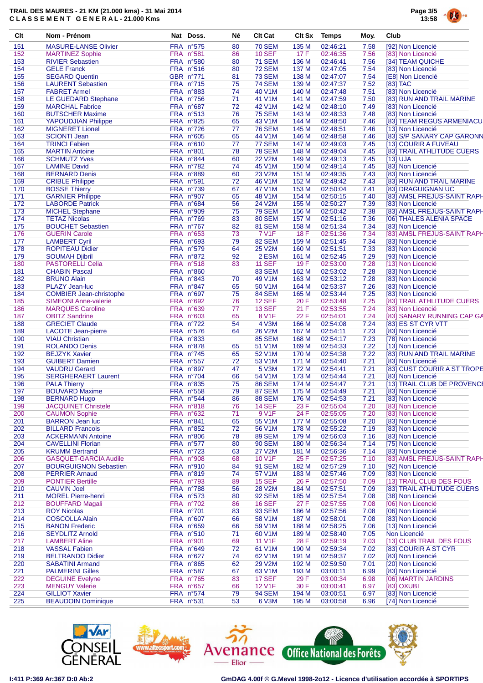

| Clt        | Nom - Prénom                                                  | Nat Doss.              | Né       | <b>Clt Cat</b>                 | <b>Clt Sx</b>  | Temps                | Moy.         | Club                                                    |
|------------|---------------------------------------------------------------|------------------------|----------|--------------------------------|----------------|----------------------|--------------|---------------------------------------------------------|
| 151        | <b>MASURE-LANSE Olivier</b>                                   | FRA n°575              | 80       | <b>70 SEM</b>                  | 135 M          | 02:46:21             | 7.58         | [92] Non Licencié                                       |
| 152        | <b>MARTINEZ Sophie</b>                                        | FRA n°581              | 86       | <b>10 SEF</b>                  | 17 F           | 02:46:35             | 7.56         | [83] Non Licencié                                       |
| 153        | <b>RIVIER Sebastien</b>                                       | FRA n°580              | 80       | <b>71 SEM</b>                  | 136 M          | 02:46:41             | 7.56         | [34] TEAM QUICHE                                        |
| 154<br>155 | <b>GELE Franck</b><br><b>SEGARD Quentin</b>                   | FRA n°516<br>GBR n°771 | 80       | <b>72 SEM</b><br><b>73 SEM</b> | 137 M<br>138 M | 02:47:05<br>02:47:07 | 7.54<br>7.54 | [83] Non Licencié<br>[E8] Non Licencié                  |
| 156        | <b>LAURENT Sebastien</b>                                      | FRA nº715              | 81<br>75 | <b>74 SEM</b>                  | 139 M          | 02:47:37             | 7.52         | $[83]$ TAC                                              |
| 157        | <b>FABRET Armel</b>                                           | FRA n°883              | 74       | 40 V1M                         | 140 M          | 02:47:48             | 7.51         | [83] Non Licencié                                       |
| 158        | LE GUEDARD Stephane                                           | FRA n°756              | 71       | 41 V1M                         | 141 M          | 02:47:59             | 7.50         | [83] RUN AND TRAIL MARINE                               |
| 159        | <b>MARCHAL Fabrice</b>                                        | FRA n°687              | 72       | <b>42 V1M</b>                  | 142 M          | 02:48:10             | 7.49         | [83] Non Licencié                                       |
| 160        | <b>BUTSCHER Maxime</b>                                        | FRA n°513              | 76       | <b>75 SEM</b>                  | 143 M          | 02:48:33             | 7.48         | [83] Non Licencié                                       |
| 161        | <b>YAPOUDJIAN Philippe</b>                                    | FRA n°825              | 65       | 43 V1M                         | 144 M          | 02:48:50             | 7.46         | [83] TEAM REGUS ARMENIACU                               |
| 162        | <b>MIGNERET Lionel</b>                                        | FRA n°726              | 77       | <b>76 SEM</b>                  | 145 M          | 02:48:51             | 7.46         | [13] Non Licencié                                       |
| 163<br>164 | <b>SCIONTI Jean</b><br><b>TRINCI Fabien</b>                   | FRA n°605<br>FRA n°610 | 65<br>77 | 44 V1M<br><b>77 SEM</b>        | 146 M<br>147 M | 02:48:58<br>02:49:03 | 7.46<br>7.45 | [83] S/P SANARY CAP GARONN<br>[13] COURIR A FUVEAU      |
| 165        | <b>MARTIN Antoine</b>                                         | <b>FRA n°801</b>       | 78       | <b>78 SEM</b>                  | 148 M          | 02:49:04             | 7.45         | [83] TRAIL ATHLITUDE CUERS                              |
| 166        | <b>SCHMUTZ Yves</b>                                           | FRA n°844              | 60       | <b>22 V2M</b>                  | 149 M          | 02:49:13             | 7.45         | [13] UJA                                                |
| 167        | <b>LAMINE David</b>                                           | FRA n°782              | 74       | 45 V1M                         | 150 M          | 02:49:14             | 7.45         | [83] Non Licencié                                       |
| 168        | <b>BERNARD Denis</b>                                          | FRA n°889              | 60       | 23 V2M                         | 151 M          | 02:49:35             | 7.43         | [83] Non Licencié                                       |
| 169        | <b>CRIBLE Philippe</b>                                        | FRA n°591              | 72       | 46 V1M                         | 152 M          | 02:49:42             | 7.43         | [83] RUN AND TRAIL MARINE                               |
| 170        | <b>BOSSE Thierry</b>                                          | FRA n°739              | 67       | 47 V1M                         | 153 M          | 02:50:04             | 7.41         | [83] DRAGUIGNAN UC                                      |
| 171        | <b>GARNIER Philippe</b>                                       | FRA n°907              | 65       | 48 V1M                         | 154 M          | 02:50:15             | 7.40         | [83] AMSL FREJUS-SAINT RAPH                             |
| 172        | <b>LABORDE Patrick</b>                                        | FRA n°684              | 56       | 24 V2M                         | 155 M          | 02:50:27             | 7.39         | [83] Non Licencié                                       |
| 173<br>174 | <b>MICHEL Stephane</b><br><b>TETAZ Nicolas</b>                | FRA n°909<br>FRA n°769 | 75<br>83 | <b>79 SEM</b><br><b>80 SEM</b> | 156 M<br>157 M | 02:50:42<br>02:51:16 | 7.38<br>7.36 | [83] AMSL FREJUS-SAINT RAPH<br>[06] THALES ALENIA SPACE |
| 175        | <b>BOUCHET Sebastien</b>                                      | FRA n°767              | 82       | <b>81 SEM</b>                  | 158 M          | 02:51:34             | 7.34         | [83] Non Licencié                                       |
| 176        | <b>GUERIN Carole</b>                                          | FRA n°653              | 73       | <b>7 V1F</b>                   | 18 F           | 02:51:36             | 7.34         | [83] AMSL FREJUS-SAINT RAPH                             |
| 177        | <b>LAMBERT Cyril</b>                                          | <b>FRA n°693</b>       | 79       | <b>82 SEM</b>                  | 159 M          | 02:51:45             | 7.34         | [83] Non Licencié                                       |
| 178        | <b>ROPITEAU Didier</b>                                        | FRA n°579              | 64       | <b>25 V2M</b>                  | 160 M          | 02:51:51             | 7.33         | [83] Non Licencié                                       |
| 179        | <b>SOUMAH Djibril</b>                                         | FRA n°872              | 92       | 2 ESM                          | 161 M          | 02:52:45             | 7.29         | [93] Non Licencié                                       |
| 180        | <b>PASTORELLI Celia</b>                                       | FRA n°518              | 83       | <b>11 SEF</b>                  | 19F            | 02:53:00             | 7.28         | [13] Non Licencié                                       |
| 181        | <b>CHABIN Pascal</b>                                          | FRA n°860              |          | <b>83 SEM</b>                  | 162 M          | 02:53:02             | 7.28         | [83] Non Licencié                                       |
| 182        | <b>BRUNO Alain</b>                                            | FRA n°843              | 70       | 49 V1M                         | 163 M          | 02:53:12             | 7.28         | [83] Non Licencié                                       |
| 183        | PLAZY Jean-luc                                                | FRA n°847              | 65       | 50 V1M                         | 164 M          | 02:53:37             | 7.26         | [83] Non Licencié                                       |
| 184<br>185 | <b>COMBIER Jean-christophe</b><br><b>SIMEONI Anne-valerie</b> | FRA n°697<br>FRA n°692 | 75<br>76 | <b>84 SEM</b><br><b>12 SEF</b> | 165 M<br>20 F  | 02:53:44<br>02:53:48 | 7.25<br>7.25 | [83] Non Licencié<br>[83] TRAIL ATHLITUDE CUERS         |
| 186        | <b>MARQUES Caroline</b>                                       | FRA n°639              | 77       | <b>13 SEF</b>                  | 21 F           | 02:53:55             | 7.24         | [83] Non Licencié                                       |
| 187        | <b>OBITZ Sandrine</b>                                         | FRA n°603              | 65       | 8 V1F                          | 22 F           | 02:54:01             | 7.24         | [83] SANARY RUNNING CAP GA                              |
| 188        | <b>GRECIET Claude</b>                                         | FRA nº722              | 54       | 4 V3M                          | 166 M          | 02:54:08             | 7.24         | [83] ES ST CYR VTT                                      |
| 189        | <b>LACOTE Jean-pierre</b>                                     | FRA n°576              | 64       | 26 V2M                         | 167 M          | 02:54:11             | 7.23         | [83] Non Licencié                                       |
| 190        | <b>VIAU Christian</b>                                         | FRA n°833              |          | <b>85 SEM</b>                  | 168 M          | 02:54:17             | 7.23         | [78] Non Licencié                                       |
| 191        | <b>ROLANDO Denis</b>                                          | FRA n°878              | 65       | 51 V1M                         | 169 M          | 02:54:33             | 7.22         | [13] Non Licencié                                       |
| 192        | <b>BEJZYK Xavier</b>                                          | FRA nº745              | 65       | 52 V1M                         | 170 M          | 02:54:38             | 7.22         | [83] RUN AND TRAIL MARINE                               |
| 193<br>194 | <b>GUIBERT Damien</b><br><b>VAUDRU Gerard</b>                 | FRA n°557<br>FRA n°897 | 72<br>47 | 53 V1M<br>5 V3M                | 171 M<br>172 M | 02:54:40<br>02:54:41 | 7.21<br>7.21 | [83] Non Licencié<br>[83] CUST COURIR A ST TROPE        |
| 195        | <b>SERGHERAERT Laurent</b>                                    | FRA n°704              | 66       | 54 V1M                         | 173 M          | 02:54:44             | 7.21         | [83] Non Licencié                                       |
| 196        | <b>PALA Thierry</b>                                           | <b>FRA n°835</b>       | 75       | <b>86 SEM</b>                  | 174 M          | 02:54:47             | 7.21         | [13] TRAIL CLUB DE PROVENCE                             |
| 197        | <b>BOUVARD Maxime</b>                                         | FRA n°558              | 79       | <b>87 SEM</b>                  | 175 M          | 02:54:49             | 7.21         | [83] Non Licencié                                       |
| 198        | <b>BERNARD Hugo</b>                                           | FRA n°544              | 86       | <b>88 SEM</b>                  | 176 M          | 02:54:53             | 7.21         | [83] Non Licencié                                       |
| 199        | <b>JACQUINET Christele</b>                                    | FRA n°818              | 76       | <b>14 SEF</b>                  | 23 F           | 02:55:04             | 7.20         | [83] Non Licencié                                       |
| 200        | <b>CAUMON Sophie</b>                                          | FRA n°632              | 71       | 9 V1F                          | 24 F           | 02:55:05             | 7.20         | [83] Non Licencié                                       |
| 201        | <b>BARRON Jean luc</b>                                        | FRA n°841              | 65       | 55 V1M                         | 177 M          | 02:55:08             | 7.20         | [83] Non Licencié                                       |
| 202<br>203 | <b>BILLARD Francois</b><br><b>ACKERMANN Antoine</b>           | FRA n°852<br>FRA n°806 | 72<br>78 | 56 V1M<br><b>89 SEM</b>        | 178 M<br>179 M | 02:55:22<br>02:56:03 | 7.19<br>7.16 | [83] Non Licencié<br>[83] Non Licencié                  |
| 204        | <b>CAVELLINI Florian</b>                                      | FRA n°577              | 80       | <b>90 SEM</b>                  | 180 M          | 02:56:34             | 7.14         | [75] Non Licencié                                       |
| 205        | <b>KRUMM Bertrand</b>                                         | FRA nº723              | 63       | <b>27 V2M</b>                  | 181 M          | 02:56:36             | 7.14         | [83] Non Licencié                                       |
| 206        | <b>GASQUET-GARCIA Audile</b>                                  | FRA n°908              | 68       | 10 V1F                         | 25 F           | 02:57:25             | 7.10         | [83] AMSL FREJUS-SAINT RAPH                             |
| 207        | <b>BOURGUIGNON Sebastien</b>                                  | FRA n°910              | 84       | <b>91 SEM</b>                  | 182 M          | 02:57:29             | 7.10         | [92] Non Licencié                                       |
| 208        | <b>PERRIER Arnaud</b>                                         | FRA n°819              | 74       | 57 V1M                         | 183 M          | 02:57:46             | 7.09         | [83] Non Licencié                                       |
| 209        | <b>PONTIER Bertille</b>                                       | FRA n°793              | 89       | <b>15 SEF</b>                  | 26 F           | 02:57:50             | 7.09         | [13] TRAIL CLUB DES FOUS                                |
| 210        | <b>CAUVIN Joel</b>                                            | FRA n°788              | 56       | 28 V2M                         | 184 M          | 02:57:51             | 7.09         | [83] TRAIL ATHLITUDE CUERS                              |
| 211<br>212 | <b>MOREL Pierre-henri</b>                                     | FRA n°573<br>FRA n°702 | 80       | <b>92 SEM</b><br><b>16 SEF</b> | 185 M<br>27 F  | 02:57:54<br>02:57:55 | 7.08         | [38] Non Licencié<br>[06] Non Licencié                  |
| 213        | <b>BOUFFARD Magali</b><br><b>ROY Nicolas</b>                  | <b>FRA n°701</b>       | 86<br>83 | <b>93 SEM</b>                  | 186 M          | 02:57:56             | 7.08<br>7.08 | [06] Non Licencié                                       |
| 214        | <b>COSCOLLA Alain</b>                                         | FRA n°607              | 66       | 58 V1M                         | 187 M          | 02:58:01             | 7.08         | [83] Non Licencié                                       |
| 215        | <b>BANON Frederic</b>                                         | FRA n°659              | 66       | 59 V1M                         | 188 M          | 02:58:25             | 7.06         | [13] Non Licencié                                       |
| 216        | <b>SEYDLITZ Arnold</b>                                        | FRA n°510              | 71       | 60 V <sub>1</sub> M            | 189 M          | 02:58:40             | 7.05         | Non Licencié                                            |
| 217        | <b>LAMBERT Aline</b>                                          | FRA n°901              | 69       | <b>11 V1F</b>                  | 28 F           | 02:59:19             | 7.03         | [13] CLUB TRAIL DES FOUS                                |
| 218        | <b>VASSAL Fabien</b>                                          | FRA n°649              | 72       | 61 V1M                         | 190 M          | 02:59:34             | 7.02         | [83] COURIR A ST CYR                                    |
| 219        | <b>BELTRANDO Didier</b>                                       | FRA n°627              | 74       | 62 V1M                         | 191 M          | 02:59:37             | 7.02         | [83] Non Licencié                                       |
| 220        | <b>SABATINI Armand</b>                                        | FRA n°865              | 62       | 29 V2M                         | 192 M          | 02:59:50             | 7.01         | [20] Non Licencié                                       |
| 221<br>222 | <b>PALMERINI Gilles</b><br><b>DEGUINE Evelyne</b>             | FRA n°587<br>FRA nº765 | 67<br>83 | 63 V1M<br><b>17 SEF</b>        | 193 M<br>29 F  | 03:00:11<br>03:00:34 | 6.99<br>6.98 | [83] Non Licencié<br>[06] MARTIN JARDINS                |
| 223        | <b>MENGUY Valerie</b>                                         | FRA n°657              | 66       | <b>12 V1F</b>                  | 30 F           | 03:00:41             | 6.97         | [83] OXUBI                                              |
| 224        | <b>GILLIOT Xavier</b>                                         | FRA n°574              | 79       | <b>94 SEM</b>                  | 194 M          | 03:00:51             | 6.97         | [83] Non Licencié                                       |
| 225        | <b>BEAUDOIN Dominique</b>                                     | FRA n°531              | 53       | 6 V3M                          | 195 M          | 03:00:58             | 6.96         | [74] Non Licencié                                       |
|            |                                                               |                        |          |                                |                |                      |              |                                                         |







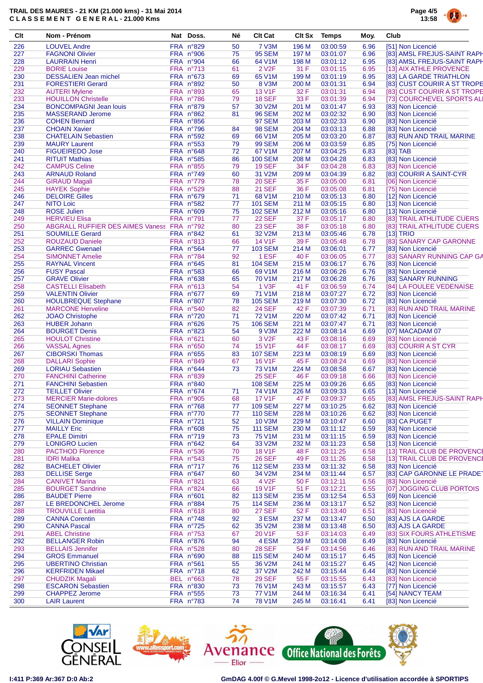

| Clt        | Nom - Prénom                                       | Nat Doss.                     | Né       | <b>Clt Cat</b>                  | Clt Sx         | Temps                | Moy.         | Club                                                     |
|------------|----------------------------------------------------|-------------------------------|----------|---------------------------------|----------------|----------------------|--------------|----------------------------------------------------------|
| 226        | <b>LOUVEL Andre</b>                                | FRA n°829                     | 50       | <b>7 V3M</b>                    | 196 M          | 03:00:59             | 6.96         | [51] Non Licencié                                        |
| 227        | <b>FAGNONI Olivier</b>                             | FRA n°906                     | 75       | <b>95 SEM</b>                   | 197 M          | 03:01:07             | 6.96         | [83] AMSL FREJUS-SAINT RAPH                              |
| 228        | <b>LAURRAIN Henri</b>                              | FRA n°904                     | 66       | 64 V1M                          | 198 M          | 03:01:12             | 6.95         | [83] AMSL FREJUS-SAINT RAPH                              |
| 229        | <b>BORIE Louise</b>                                | FRA nº713                     | 61       | 2 V <sub>2</sub> F              | 31 F           | 03:01:15             | 6.95         | [13] AIX ATHLE PROVENCE                                  |
| 230        | <b>DESSALIEN Jean michel</b>                       | <b>FRA n°673</b>              | 69       | 65 V1M                          | 199 M          | 03:01:19             | 6.95         | [83] LA GARDE TRIATHLON                                  |
| 231        | <b>FORESTIERI Gerard</b>                           | FRA n°892                     | 50       | 8 V3M                           | 200 M          | 03:01:31             | 6.94         | [83] CUST COURIR A ST TROPE                              |
| 232<br>233 | <b>AUTERI Mylene</b><br><b>HOUILLON Christelle</b> | <b>FRA n°893</b><br>FRA n°786 | 65<br>79 | <b>13 V1F</b><br><b>18 SEF</b>  | 32 F<br>33 F   | 03:01:31<br>03:01:39 | 6.94<br>6.94 | [83] CUST COURIR A ST TROPE<br>[73] COURCHEVEL SPORTS AL |
| 234        | <b>BONCOMPAGNI Jean louis</b>                      | FRA n°879                     | 57       | 30 V2M                          |                | 03:01:47             |              |                                                          |
| 235        | <b>MASSERAND Jerome</b>                            | FRA n°862                     | 81       | <b>96 SEM</b>                   | 201 M<br>202 M | 03:02:32             | 6.93<br>6.90 | [83] Non Licencié<br>[83] Non Licencié                   |
| 236        | <b>COHEN Bernard</b>                               | FRA n°856                     |          | <b>97 SEM</b>                   | 203 M          | 03:02:33             | 6.90         | [83] Non Licencié                                        |
| 237        | <b>CHOAIN Xavier</b>                               | FRA n°796                     | 84       | <b>98 SEM</b>                   | 204 M          | 03:03:13             | 6.88         | [83] Non Licencié                                        |
| 238        | <b>CHATELAIN Sebastien</b>                         | FRA n°592                     | 69       | 66 V1M                          | 205 M          | 03:03:20             | 6.87         | [83] RUN AND TRAIL MARINE                                |
| 239        | <b>MAURY Laurent</b>                               | FRA n°553                     | 79       | <b>99 SEM</b>                   | 206 M          | 03:03:59             | 6.85         | [75] Non Licencié                                        |
| 240        | <b>FIGUEIREDO Jose</b>                             | FRA n°648                     | 72       | 67 V1M                          | 207 M          | 03:04:25             | 6.83         | $[83]$ TAB                                               |
| 241        | <b>RITUIT Mathias</b>                              | FRA n°585                     | 86       | <b>100 SEM</b>                  | 208 M          | 03:04:28             | 6.83         | [83] Non Licencié                                        |
| 242        | <b>CAMPUS Celine</b>                               | FRA n°855                     | 79       | <b>19 SEF</b>                   | 34 F           | 03:04:28             | 6.83         | [83] Non Licencié                                        |
| 243        | <b>ARNAUD Roland</b>                               | FRA n°749                     | 60       | 31 V2M                          | 209 M          | 03:04:39             | 6.82         | [83] COURIR A SAINT-CYR                                  |
| 244        | <b>GIRAUD Magali</b>                               | FRA n°779                     | 78       | <b>20 SEF</b>                   | 35 F           | 03:05:00             | 6.81         | [06] Non Licencié                                        |
| 245        | <b>HAYEK Sophie</b>                                | FRA n°529                     | 88       | 21 SEF                          | 36 F           | 03:05:08             | 6.81         | [75] Non Licencié                                        |
| 246        | <b>DELOIRE Gilles</b>                              | FRA n°679                     | 71       | 68 V1M                          | 210 M          | 03:05:13             | 6.80         | [12] Non Licencié                                        |
| 247        | <b>NITO Loic</b>                                   | FRA n°582                     | 77       | <b>101 SEM</b>                  | 211 M          | 03:05:15             | 6.80         | [13] Non Licencié                                        |
| 248        | <b>ROSE Julien</b>                                 | FRA n°609                     | 75       | <b>102 SEM</b>                  | 212 M          | 03:05:16             | 6.80         | [13] Non Licencié                                        |
| 249        | <b>HERVIEU Elisa</b>                               | FRA n°791                     | 77       | <b>22 SEF</b>                   | 37 F           | 03:05:17             | 6.80         | [83] TRAIL ATHLITUDE CUERS                               |
| 250        | ABGRALL RUFFIER DES AIMES Vaness FRA n°792         |                               | 80       | <b>23 SEF</b>                   | 38 F           | 03:05:18             | 6.80         | [83] TRAIL ATHLITUDE CUERS                               |
| 251        | <b>SOUMILLE Gerard</b>                             | FRA n°842                     | 61       | 32 V2M                          | 213 M          | 03:05:46             | 6.78         | [13] TRIO                                                |
| 252        | <b>ROUZAUD Daniele</b>                             | FRA n°813                     | 66       | 14 V1F                          | 39 F           | 03:05:48             | 6.78         | [83] SANARY CAP GARONNE                                  |
| 253        | <b>GARREC Gwenael</b>                              | FRA n°564                     | 77       | <b>103 SEM</b>                  | 214 M          | 03:06:01             | 6.77         | [83] Non Licencié                                        |
| 254        | <b>SIMONNET Amelie</b>                             | FRA nº784                     | 92       | 1 ESF                           | 40 F           | 03:06:05             | 6.77         | [83] SANARY RUNNING CAP GA                               |
| 255        | <b>RAYNAL Vincent</b>                              | FRA n°645                     | 81       | <b>104 SEM</b>                  | 215 M          | 03:06:17             | 6.76         | [83] Non Licencié                                        |
| 256        | <b>FUSY Pascal</b>                                 | FRA n°583                     | 66       | 69 V1M                          | 216 M          | 03:06:26             | 6.76         | [83] Non Licencié                                        |
| 257        | <b>GRAVE Olivier</b>                               | FRA n°638                     | 65       | <b>70 V1M</b>                   | 217 M          | 03:06:28             | 6.76         | [83] SANARY RUNNING                                      |
| 258        | <b>CASTELLI Elisabeth</b>                          | FRA n°613                     | 54       | 1 V3F                           | 41 F           | 03:06:59             | 6.74         | [84] LA FOULEE VEDENAISE                                 |
| 259        | <b>VALENTIN Olivier</b>                            | FRA n°677                     | 69       | 71 V1M                          | 218 M          | 03:07:27             | 6.72         | [83] Non Licencié                                        |
| 260        | <b>HOULBREQUE Stephane</b>                         | <b>FRA n°807</b>              | 78       | <b>105 SEM</b>                  | 219 M          | 03:07:30             | 6.72         | [83] Non Licencié                                        |
| 261        | <b>MARCONE Herveline</b>                           | FRA n°540                     | 82       | <b>24 SEF</b>                   | 42 F           | 03:07:39             | 6.71         | [83] RUN AND TRAIL MARINE                                |
| 262        | <b>JOAO Christophe</b>                             | FRA n°720                     | 71       | 72 V1M                          | 220 M          | 03:07:42             | 6.71         | [83] Non Licencié                                        |
| 263        | <b>HUBER Johann</b>                                | FRA n°626                     | 75       | <b>106 SEM</b>                  | 221 M          | 03:07:47             | 6.71         | [83] Non Licencié                                        |
| 264        | <b>BOURGET Denis</b>                               | FRA n°823                     | 54       | 9 V3M                           | 222 M          | 03:08:14             | 6.69         | [07] MACADAM 07                                          |
| 265        | <b>HOULOT Christine</b>                            | FRA n°621                     | 60       | 3 V <sub>2</sub> F              | 43 F           | 03:08:16             | 6.69         | [83] Non Licencié                                        |
| 266        | <b>VASSAL Agnes</b>                                | FRA n°650                     | 74       | <b>15 V1F</b><br><b>107 SEM</b> | 44 F           | 03:08:17             | 6.69         | [83] COURIR A ST CYR                                     |
| 267<br>268 | <b>CIBORSKI Thomas</b>                             | FRA n°655<br>FRA n°849        | 83<br>67 | 16 V1F                          | 223 M<br>45 F  | 03:08:19<br>03:08:24 | 6.69         | [83] Non Licencié<br>[83] Non Licencié                   |
| 269        | <b>DALLARI Sophie</b><br><b>LORIAU Sebastien</b>   | FRA n°644                     | 73       | 73 V1M                          | 224 M          | 03:08:58             | 6.69<br>6.67 | [83] Non Licencié                                        |
| 270        | <b>FANCHINI Catherine</b>                          | FRA n°839                     |          | <b>25 SEF</b>                   | 46 F           | 03:09:18             | 6.66         | [83] Non Licencié                                        |
| 271        | <b>FANCHINI Sebastien</b>                          | FRA n°840                     |          | <b>108 SEM</b>                  | 225 M          | 03:09:26             | 6.65         | [83] Non Licencié                                        |
| 272        | <b>TEILLET Olivier</b>                             | FRA n°674                     | 71       | 74 V1M                          | 226 M          | 03:09:33             | 6.65         | [13] Non Licencié                                        |
| 273        | <b>MERCIER Marie-dolores</b>                       | FRA n°905                     | 68       | <b>17 V1F</b>                   | 47 F           | 03:09:37             | 6.65         | [83] AMSL FREJUS-SAINT RAPH                              |
| 274        | <b>SEONNET Stephane</b>                            | FRA n°768                     | 77       | <b>109 SEM</b>                  | 227 M          | 03:10:25             | 6.62         | [83] Non Licencié                                        |
| 275        | <b>SEONNET Stephane</b>                            | FRA n°770                     | 77       | <b>110 SEM</b>                  | 228 M          | 03:10:26             | 6.62         | [83] Non Licencié                                        |
| 276        | <b>VILLAIN Dominique</b>                           | FRA nº721                     | 52       | <b>10 V3M</b>                   | 229 M          | 03:10:47             | 6.60         | [83] CA PUGET                                            |
| 277        | <b>MAILLY Eric</b>                                 | FRA n°608                     | 75       | <b>111 SEM</b>                  | 230 M          | 03:11:12             | 6.59         | [83] Non Licencié                                        |
| 278        | <b>EPALE Dimitri</b>                               | FRA n°719                     | 73       | 75 V1M                          | 231 M          | 03:11:15             | 6.59         | [83] Non Licencié                                        |
| 279        | <b>LONIGRO Lucien</b>                              | FRA n°642                     | 64       | 33 V2M                          | 232 M          | 03:11:23             | 6.58         | [13] Non Licencié                                        |
| 280        | <b>PACTHOD Florence</b>                            | FRA n°536                     | 70       | <b>18 V1F</b>                   | 48 F           | 03:11:25             | 6.58         | [13] TRAIL CLUB DE PROVENCE                              |
| 281        | <b>IDRI Malika</b>                                 | FRA n°543                     | 75       | <b>26 SEF</b>                   | 49 F           | 03:11:26             | 6.58         | [13] TRAIL CLUB DE PROVENCE                              |
| 282        | <b>BACHELET Olivier</b>                            | FRA nº717                     | 76       | <b>112 SEM</b>                  | 233 M          | 03:11:32             | 6.58         | [83] Non Licencié                                        |
| 283        | <b>DELLISE Serge</b>                               | FRA n°647                     | 60       | 34 V2M                          | 234 M          | 03:11:44             | 6.57         | [83] CAP GARONNE LE PRADET                               |
| 284        | <b>CANIVET Marina</b>                              | FRA n°821                     | 63       | 4 V <sub>2</sub> F              | 50 F           | 03:12:11             | 6.56         | [83] Non Licencié                                        |
| 285        | <b>BOURGET Sandrine</b>                            | FRA n°824                     | 66       | 19 V1F                          | 51 F           | 03:12:21             | 6.55         | [07] JOGGING CLUB PORTOIS                                |
| 286        | <b>BAUDET Pierre</b>                               | FRA n°601                     | 82       | <b>113 SEM</b>                  | 235 M          | 03:12:54             | 6.53         | [69] Non Licencié                                        |
| 287        | LE BREDONCHEL Jerome                               | FRA n°884                     | 75       | <b>114 SEM</b>                  | 236 M          | 03:13:17             | 6.52         | [83] Non Licencié                                        |
| 288        | <b>TROUVILLE Laetitia</b>                          | FRA n°618                     | 80       | <b>27 SEF</b>                   | 52 F           | 03:13:40             | 6.51         | [83] Non Licencié                                        |
| 289        | <b>CANNA Corentin</b>                              | FRA n°748                     | 92       | 3 ESM                           | 237 M          | 03:13:47             | 6.50         | [83] AJS LA GARDE                                        |
| 290        | <b>CANNA Pascal</b>                                | FRA n°725                     | 62       | 35 V2M                          | 238 M          | 03:13:48             | 6.50         | [83] AJS LA GARDE                                        |
| 291        | <b>ABEL Christine</b>                              | FRA nº753                     | 67       | 20 V1F                          | 53 F           | 03:14:03             | 6.49         | [83] SIX FOURS ATHLETISME                                |
| 292        | <b>BELLANGER Robin</b>                             | FRA n°876                     | 94       | 4 ESM                           | 239 M          | 03:14:08             | 6.49         | [83] Non Licencié                                        |
| 293        | <b>BELLAIS Jennifer</b>                            | FRA n°528                     | 80       | <b>28 SEF</b>                   | 54 F           | 03:14:56             | 6.46         | [83] RUN AND TRAIL MARINE                                |
| 294        | <b>GROS Emmanuel</b>                               | FRA n°690                     | 88       | <b>115 SEM</b>                  | 240 M          | 03:15:17             | 6.45         | [83] Non Licencié                                        |
| 295        | <b>UBERTINO Christian</b>                          | FRA n°561                     | 55       | 36 V2M                          | 241 M          | 03:15:27             | 6.45         | [42] Non Licencié                                        |
| 296        | <b>KERFRIDEN Mikael</b>                            | FRA nº718                     | 62       | 37 V2M                          | 242 M          | 03:15:44             | 6.44         | [83] Non Licencié                                        |
| 297        | <b>CHUDZIK Magali</b>                              | <b>BEL n°663</b>              | 78       | <b>29 SEF</b>                   | 55 F           | 03:15:55             | 6.43         | [83] Non Licencié                                        |
| 298        | <b>ESCARON Sebastien</b>                           | FRA n°830                     | 73       | 76 V <sub>1</sub> M             | 243 M          | 03:15:57             | 6.43         | [77] Non Licencié                                        |
| 299        | <b>CHAPPEZ Jerome</b>                              | FRA n°555                     | 73       | <b>77 V1M</b>                   | 244 M          | 03:16:34             | 6.41         | [54] NANCY TEAM                                          |
| 300        | <b>LAIR Laurent</b>                                | FRA n°783                     | 74       | <b>78 V1M</b>                   | 245 M          | 03:16:41             | 6.41         | [83] Non Licencié                                        |